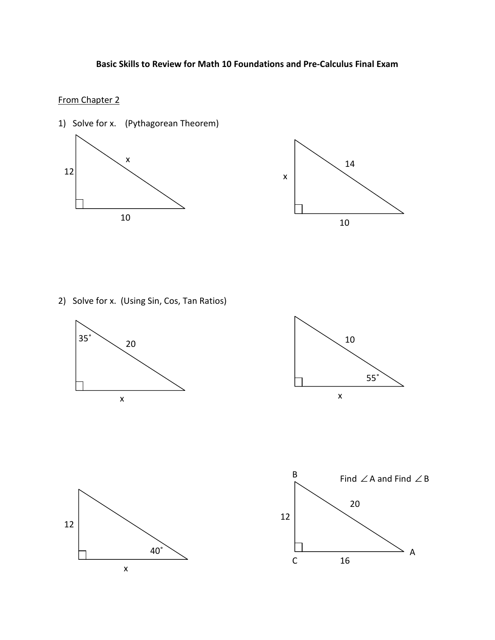# Basic Skills to Review for Math 10 Foundations and Pre-Calculus Final Exam

# From Chapter 2





2) Solve for x. (Using Sin, Cos, Tan Ratios)







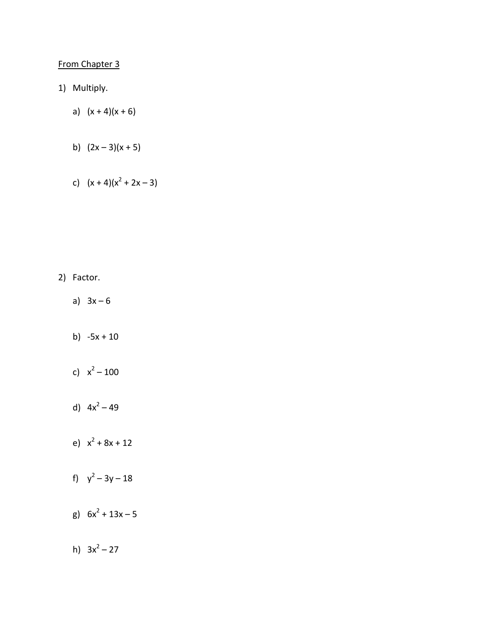## 1) Multiply.

- a)  $(x + 4)(x + 6)$
- b)  $(2x-3)(x + 5)$
- c)  $(x + 4)(x^2 + 2x 3)$

2) Factor.

- a) 3x 6
- b)  $-5x + 10$
- c)  $x^2 100$
- d)  $4x^2 49$
- e)  $x^2 + 8x + 12$
- f)  $y^2 3y 18$
- g)  $6x^2 + 13x 5$
- h)  $3x^2 27$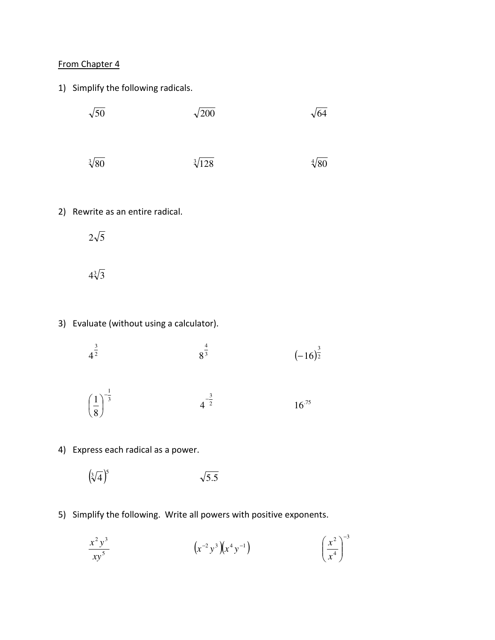1) Simplify the following radicals.



2) Rewrite as an entire radical.

$$
2\sqrt{5}
$$

 $4\sqrt[3]{3}$ 

3) Evaluate (without using a calculator).

2 3  $4^2$ 3 4  $8^{\frac{4}{3}}$   $\left(-16\right)^{\frac{3}{2}}$ 3 1 8  $1$ <sup>-</sup>  $\overline{\phantom{a}}$ J  $\left(\frac{1}{2}\right)$ l ſ 2 3  $4^{-\frac{3}{2}}$  $16^{.75}$ 

4) Express each radical as a power.

$$
\left(\sqrt[3]{4}\right)^5 \qquad \qquad \sqrt{5.5}
$$

5) Simplify the following. Write all powers with positive exponents.

$$
\frac{x^2y^3}{xy^5} \qquad \qquad (x^{-2}y^3)(x^4y^{-1}) \qquad \qquad \left(\frac{x^2}{x^4}\right)^{-3}
$$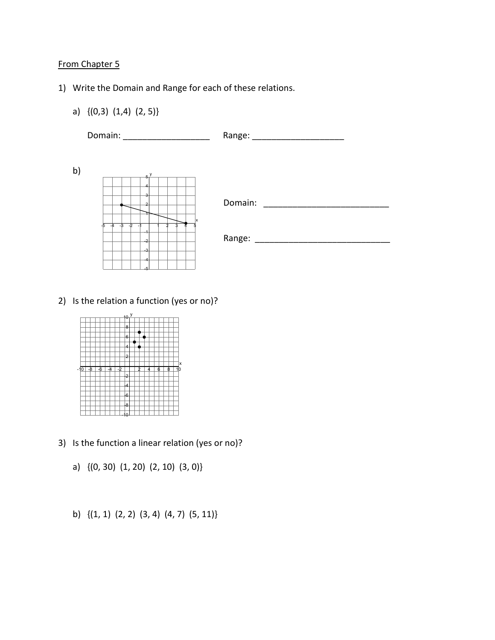- 1) Write the Domain and Range for each of these relations.
	- a) {(0,3) (1,4) (2, 5)}



2) Is the relation a function (yes or no)?



- 3) Is the function a linear relation (yes or no)?
	- a) {(0, 30) (1, 20) (2, 10) (3, 0)}
	- b) {(1, 1) (2, 2) (3, 4) (4, 7) (5, 11)}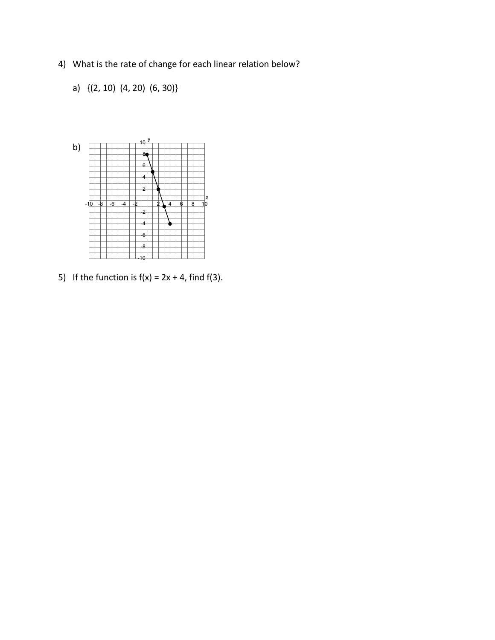- 4) What is the rate of change for each linear relation below?
	- a) {(2, 10) (4, 20) (6, 30)}



5) If the function is  $f(x) = 2x + 4$ , find  $f(3)$ .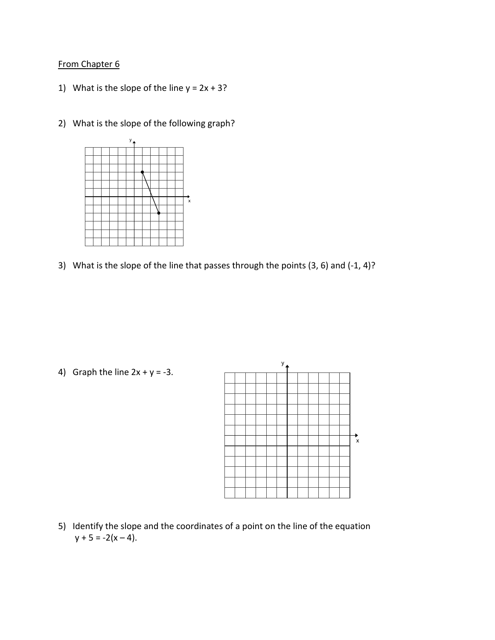- 1) What is the slope of the line  $y = 2x + 3$ ?
- 2) What is the slope of the following graph?



3) What is the slope of the line that passes through the points (3, 6) and (-1, 4)?

4) Graph the line  $2x + y = -3$ .



5) Identify the slope and the coordinates of a point on the line of the equation  $y + 5 = -2(x - 4)$ .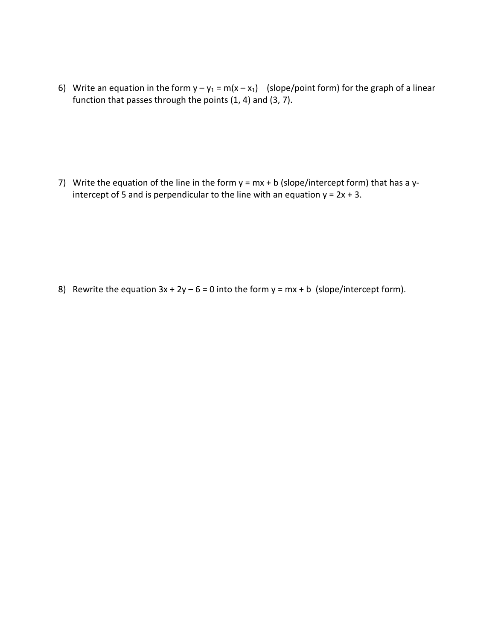6) Write an equation in the form  $y - y_1 = m(x - x_1)$  (slope/point form) for the graph of a linear function that passes through the points (1, 4) and (3, 7).

7) Write the equation of the line in the form  $y = mx + b$  (slope/intercept form) that has a yintercept of 5 and is perpendicular to the line with an equation  $y = 2x + 3$ .

8) Rewrite the equation  $3x + 2y - 6 = 0$  into the form  $y = mx + b$  (slope/intercept form).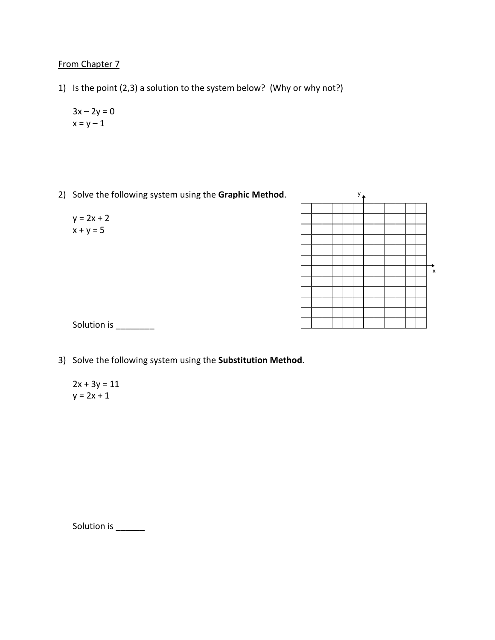1) Is the point (2,3) a solution to the system below? (Why or why not?)

$$
3x - 2y = 0
$$
  

$$
x = y - 1
$$

2) Solve the following system using the Graphic Method.





Solution is \_\_\_\_\_\_\_\_\_

3) Solve the following system using the Substitution Method.

 $2x + 3y = 11$  $y = 2x + 1$ 

Solution is \_\_\_\_\_\_\_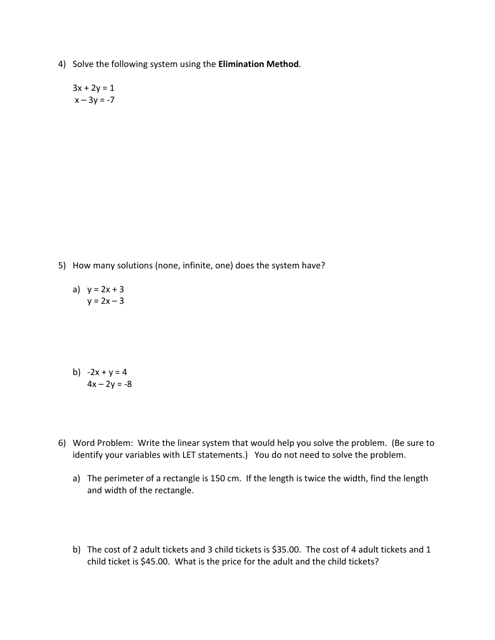4) Solve the following system using the Elimination Method.

 $3x + 2y = 1$  $x - 3y = -7$ 

- 5) How many solutions (none, infinite, one) does the system have?
	- a)  $y = 2x + 3$  $y = 2x - 3$
	- b)  $-2x + y = 4$  $4x - 2y = -8$
- 6) Word Problem: Write the linear system that would help you solve the problem. (Be sure to identify your variables with LET statements.) You do not need to solve the problem.
	- a) The perimeter of a rectangle is 150 cm. If the length is twice the width, find the length and width of the rectangle.
	- b) The cost of 2 adult tickets and 3 child tickets is \$35.00. The cost of 4 adult tickets and 1 child ticket is \$45.00. What is the price for the adult and the child tickets?